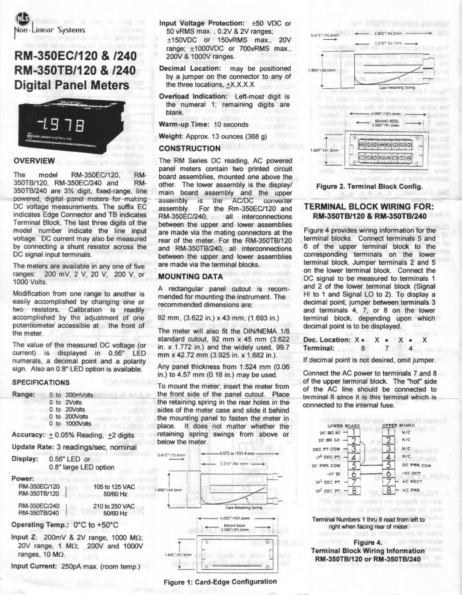**Jon-Linear Systems** 

# RM-350EC/120 & /240 RM-350TB/120 & /240 **Digital Panel Meters**



## **OVERVIEW**

The RM-350FC/120 RMmodel 350TB/120, RM-350EC/240 and RM-350TB/240 are 31/2 digit, fixed-range, line powered, digital panel moters for making DC voltage measurements. The suffix EC indicates Edge Connector and TB indicates Terminal Block. The last three digits of the model number indicate the line input voltage. DC current may also be measured by connecting a shunt resistor across the DC signal input terminals.

The meters are available in any one of five ranges: 200 mV, 2 V, 20 V, 200 V, or 1000 Volts.

Modification from one range to another is easily accomplished by changing one or two resistors. Calibration is readily accomplished by the adjustment of one potentiometer accessible at the front of the meter.

The value of the measured DC voltage (or current) is displayed in 0.56" LED numerals, a decimal point and a polarity sign. Also an 0.8" LED option is available.

### **SPECIFICATIONS**

| Range:   | 0 to 200mVolts                        |
|----------|---------------------------------------|
|          | 0 to 2Volts                           |
|          | 0 to 20Volts<br>om 83.7 t311 131      |
|          | 0 to 200Volts<br>60mg 51              |
|          | 0 to 1000Volts                        |
|          | Accuracy: + 0.05% Reading, +2 digits  |
|          | Update Rate: 3 readings/sec, nominal  |
| Display: | 0.56" LED or<br>0.8" large LED option |

Power: RM-350EC/120 1

| 50/60 Hz                   |
|----------------------------|
| 210 to 250 VAC<br>50/60 Hz |
|                            |

105 to 125 VAC

Operating Temp.: 0°C to +50°C

Input Z:  $200mV$  & 2V range, 1000 M $\Omega$ ; 20V range, 1 MΩ; 200V and 1000V ranges, 10  $M\Omega$ .

Input Current: 250pA max. (room temp.)

Input Voltage Protection: ±50 VDC or 50 vRMS max., 0.2V & 2V ranges; ±150VDC or 150vRMS max., 20V range; ±1000VDC or 700vRMS max., 200V & 1000V ranges.

**Decimal Location:** may be positioned by a jumper on the connector to any of the three locations, +X.X.X.X

Overload Indication: Left-most digit is the numeral 1; remaining digits are blank.

Warm-up Time: 10 seconds

Weight: Approx. 13 ounces (368 g)

## **CONSTRUCTION**

The RM Series DC reading, AC powered panel meters contain two printed circuit board assemblies, mounted one above the other. The lower assembly is the display/ main board assembly and the upper assembly is the AC/DC converter assembly. For the Rm-350EC/120 and RM-350EC/240, all interconnections between the upper and lower assemblies are made via the mating connectors at the rear of the meter. For the RM-350TB/120 and RM-350TB/240, all interconnections between the upper and lower assemblies are made via the terminal blocks.

## **MOUNTING DATA**

A rectangular panel cutout is recommended for mounting the instrument. The recommended dimensions are:

92 mm, (3.622 in.) x 43 mm, (1.693 in.)

The meter will also fit the DIN/NEMA 1/8 standard cutout, 92 mm x 45 mm (3.622) in.  $x$  1.772 in.) and the widely used.  $99.7$ mm x 42.72 mm (3.925 in. x 1.682 in.).

Any panel thickness from 1.524 mm (0.06) in.) to 4.57 mm (0.18 in.) may be used.

To mount the meter; insert the meter from the front side of the panel cutout. Place the retaining spring in the rear holes in the sides of the meter case and slide it behind the mounting panel to fasten the meter in place. It does not matter whether the retaining spring swings from above or below the meter.



Figure 1: Card-Edge Configuration



Figure 2. Terminal Block Config.

## **TERMINAL BLOCK WIRING FOR:** RM-350TB/120 & RM-350TB/240

Figure 4 provides wiring information for the terminal blocks. Connect terminals 5 and 6 of the upper terminal block to the corresponding terminals on the lower terminal block. Jumper terminals 2 and 5 on the lower terminal block. Connect the DC signal to be measured to terminals 1 and 2 of the lower terminal block (Signal Hi to 1 and Signal LO to 2). To display a decimal point, jumper between terminals 3 and terminals 4, 7, or 8 on the lower terminal block, depending upon which decimal point is to be displayed.

| Dec. Location: $X \cdot X \cdot Y$ |   |  | $X \bullet$ |  |
|------------------------------------|---|--|-------------|--|
| Terminal:                          | 8 |  |             |  |

If decimal point is not desired, omit jumper.

Connect the AC power to terminals 7 and 8 of the upper terminal block. The "hot" side of the AC line should be connected to terminal 8 since it is this terminal which is connected to the internal fuse.



Terminal Numbers 1 thru 8 read from left to right when facing rear of meter.

#### Figure 4. **Terminal Block Wiring Information** RM-350TB/120 or RM-350TB/240